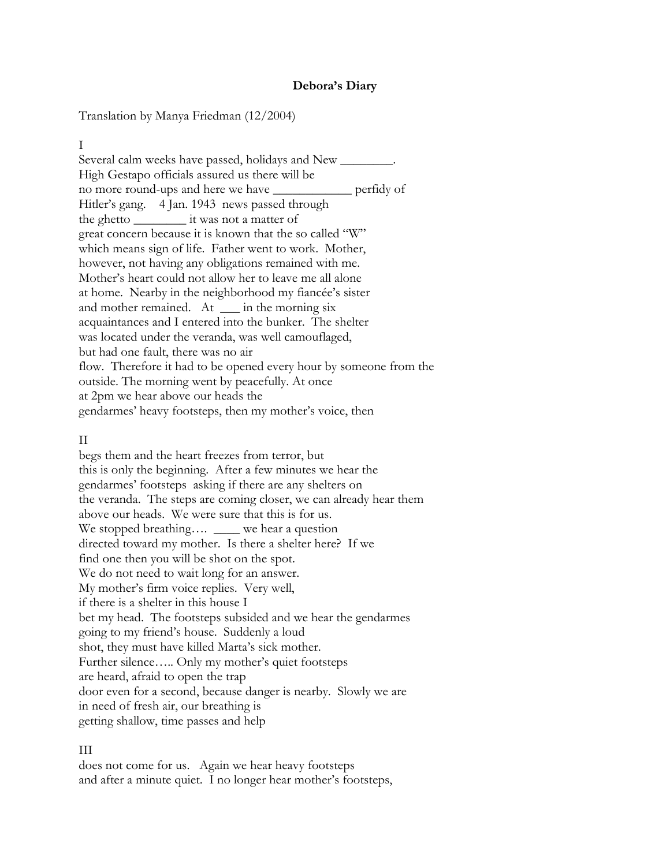#### **Debora's Diary**

Translation by Manya Friedman (12/2004)

I

Several calm weeks have passed, holidays and New \_\_\_\_\_\_\_\_. High Gestapo officials assured us there will be no more round-ups and here we have \_\_\_\_\_\_\_\_\_\_\_\_ perfidy of Hitler's gang. 4 Jan. 1943 news passed through the ghetto \_\_\_\_\_\_\_\_ it was not a matter of great concern because it is known that the so called "W" which means sign of life. Father went to work. Mother, however, not having any obligations remained with me. Mother's heart could not allow her to leave me all alone at home. Nearby in the neighborhood my fiancée's sister and mother remained. At \_\_\_ in the morning six acquaintances and I entered into the bunker. The shelter was located under the veranda, was well camouflaged, but had one fault, there was no air flow. Therefore it had to be opened every hour by someone from the outside. The morning went by peacefully. At once at 2pm we hear above our heads the gendarmes' heavy footsteps, then my mother's voice, then

#### II

begs them and the heart freezes from terror, but this is only the beginning. After a few minutes we hear the gendarmes' footsteps asking if there are any shelters on the veranda. The steps are coming closer, we can already hear them above our heads. We were sure that this is for us. We stopped breathing.... \_\_\_\_ we hear a question directed toward my mother. Is there a shelter here? If we find one then you will be shot on the spot. We do not need to wait long for an answer. My mother's firm voice replies. Very well, if there is a shelter in this house I bet my head. The footsteps subsided and we hear the gendarmes going to my friend's house. Suddenly a loud shot, they must have killed Marta's sick mother. Further silence….. Only my mother's quiet footsteps are heard, afraid to open the trap door even for a second, because danger is nearby. Slowly we are in need of fresh air, our breathing is getting shallow, time passes and help

## III

does not come for us. Again we hear heavy footsteps and after a minute quiet. I no longer hear mother's footsteps,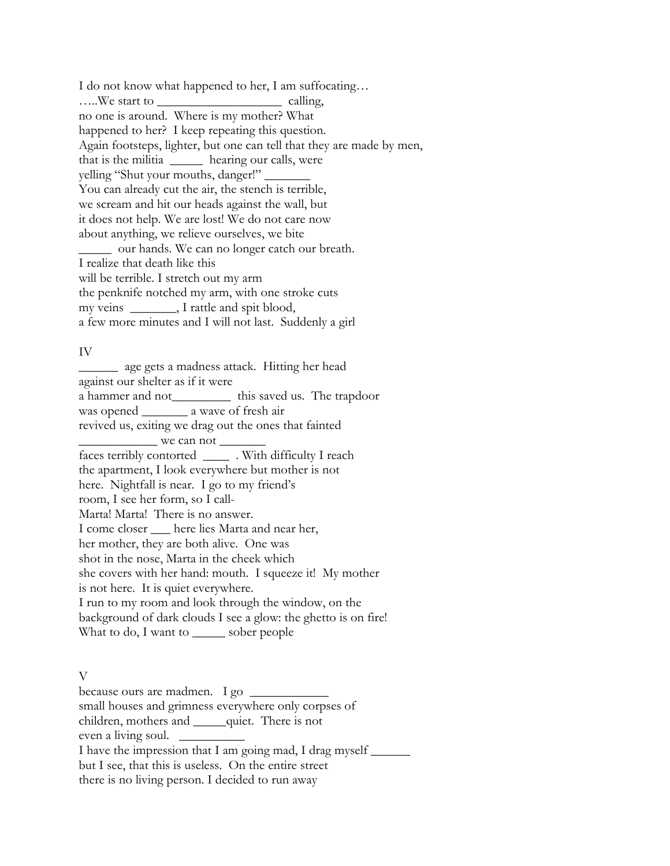I do not know what happened to her, I am suffocating… …..We start to \_\_\_\_\_\_\_\_\_\_\_\_\_\_\_\_\_\_\_ calling, no one is around. Where is my mother? What happened to her? I keep repeating this question. Again footsteps, lighter, but one can tell that they are made by men, that is the militia \_\_\_\_\_ hearing our calls, were yelling "Shut your mouths, danger!" You can already cut the air, the stench is terrible, we scream and hit our heads against the wall, but it does not help. We are lost! We do not care now about anything, we relieve ourselves, we bite \_\_\_\_\_ our hands. We can no longer catch our breath. I realize that death like this will be terrible. I stretch out my arm the penknife notched my arm, with one stroke cuts my veins \_\_\_\_\_\_\_, I rattle and spit blood, a few more minutes and I will not last. Suddenly a girl

#### IV

\_\_\_\_\_\_ age gets a madness attack. Hitting her head against our shelter as if it were a hammer and not\_\_\_\_\_\_\_\_\_ this saved us. The trapdoor was opened \_\_\_\_\_\_\_ a wave of fresh air revived us, exiting we drag out the ones that fainted  $\frac{1}{2}$  we can not  $\frac{1}{2}$ faces terribly contorted \_\_\_\_ . With difficulty I reach the apartment, I look everywhere but mother is not here. Nightfall is near. I go to my friend's room, I see her form, so I call-Marta! Marta! There is no answer. I come closer \_\_\_ here lies Marta and near her, her mother, they are both alive. One was shot in the nose, Marta in the cheek which she covers with her hand: mouth. I squeeze it! My mother is not here. It is quiet everywhere. I run to my room and look through the window, on the background of dark clouds I see a glow: the ghetto is on fire! What to do, I want to \_\_\_\_\_\_ sober people

## V

because ours are madmen. I go \_\_\_\_\_\_\_\_\_\_\_\_ small houses and grimness everywhere only corpses of children, mothers and \_\_\_\_\_quiet. There is not even a living soul. \_\_\_\_\_\_\_\_\_\_ I have the impression that I am going mad, I drag myself \_\_\_\_\_\_\_ but I see, that this is useless. On the entire street there is no living person. I decided to run away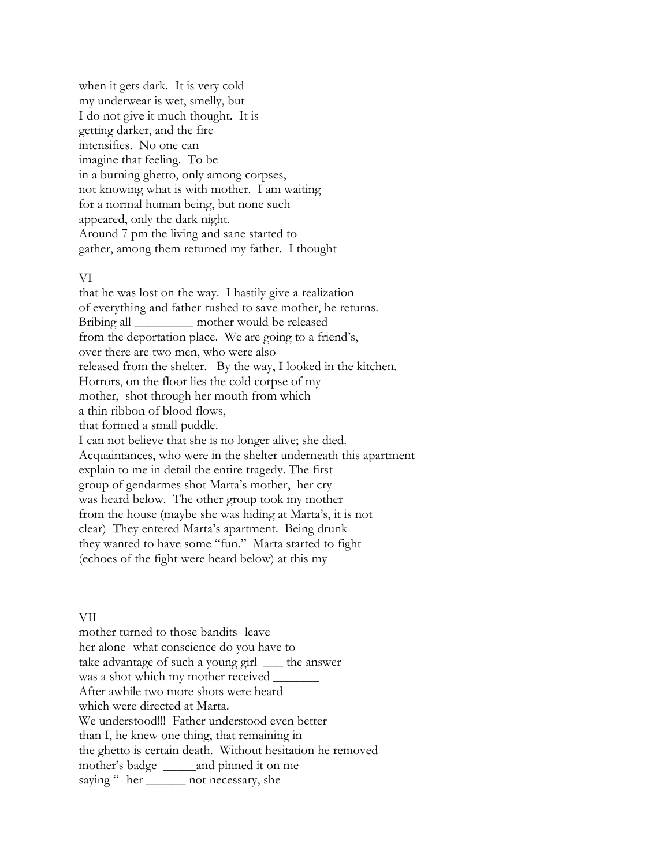when it gets dark. It is very cold my underwear is wet, smelly, but I do not give it much thought. It is getting darker, and the fire intensifies. No one can imagine that feeling. To be in a burning ghetto, only among corpses, not knowing what is with mother. I am waiting for a normal human being, but none such appeared, only the dark night. Around 7 pm the living and sane started to gather, among them returned my father. I thought

#### VI

that he was lost on the way. I hastily give a realization of everything and father rushed to save mother, he returns. Bribing all \_\_\_\_\_\_\_\_\_ mother would be released from the deportation place. We are going to a friend's, over there are two men, who were also released from the shelter. By the way, I looked in the kitchen. Horrors, on the floor lies the cold corpse of my mother, shot through her mouth from which a thin ribbon of blood flows, that formed a small puddle. I can not believe that she is no longer alive; she died. Acquaintances, who were in the shelter underneath this apartment explain to me in detail the entire tragedy. The first group of gendarmes shot Marta's mother, her cry was heard below. The other group took my mother from the house (maybe she was hiding at Marta's, it is not clear) They entered Marta's apartment. Being drunk they wanted to have some "fun." Marta started to fight (echoes of the fight were heard below) at this my

#### VII

mother turned to those bandits- leave her alone- what conscience do you have to take advantage of such a young girl \_\_\_ the answer was a shot which my mother received \_\_\_\_\_\_\_ After awhile two more shots were heard which were directed at Marta. We understood!!! Father understood even better than I, he knew one thing, that remaining in the ghetto is certain death. Without hesitation he removed mother's badge and pinned it on me saying "- her \_\_\_\_\_\_\_ not necessary, she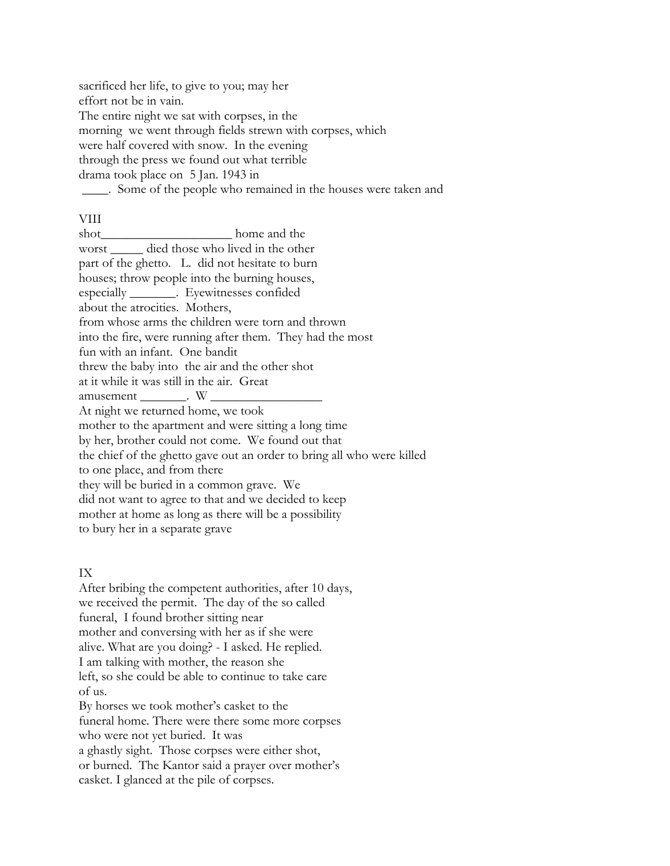sacrificed her life, to give to you; may her effort not be in vain. The entire night we sat with corpses, in the morning we went through fields strewn with corpses, which were half covered with snow. In the evening through the press we found out what terrible drama took place on 5 Jan. 1943 in \_\_\_\_. Some of the people who remained in the houses were taken and

## VIII

shot home and the worst died those who lived in the other part of the ghetto. L. did not hesitate to burn houses; throw people into the burning houses, especially \_\_\_\_\_\_\_. Eyewitnesses confided about the atrocities. Mothers, from whose arms the children were torn and thrown into the fire, were running after them. They had the most fun with an infant. One bandit threw the baby into the air and the other shot at it while it was still in the air. Great amusement \_\_\_\_\_\_\_. W \_\_\_\_\_\_\_\_\_\_\_\_\_\_\_\_\_ At night we returned home, we took mother to the apartment and were sitting a long time by her, brother could not come. We found out that the chief of the ghetto gave out an order to bring all who were killed to one place, and from there they will be buried in a common grave. We did not want to agree to that and we decided to keep mother at home as long as there will be a possibility to bury her in a separate grave

# IX

After bribing the competent authorities, after 10 days, we received the permit. The day of the so called funeral, I found brother sitting near mother and conversing with her as if she were alive. What are you doing? - I asked. He replied. I am talking with mother, the reason she left, so she could be able to continue to take care of us. By horses we took mother's casket to the funeral home. There were there some more corpses who were not yet buried. It was a ghastly sight. Those corpses were either shot, or burned. The Kantor said a prayer over mother's

casket. I glanced at the pile of corpses.